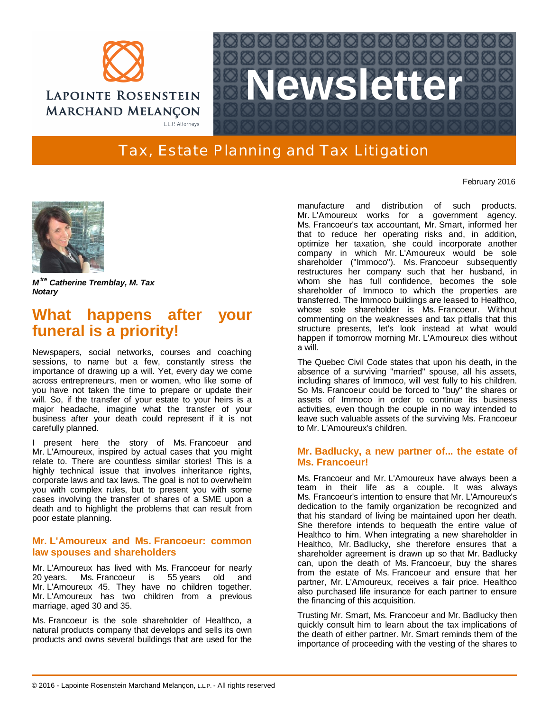



# Tax, Estate Planning and Tax Litigation

February 2016



*M tre Catherine Tremblay, M. Tax Notary*

# **What happens after your funeral is a priority!**

Newspapers, social networks, courses and coaching sessions, to name but a few, constantly stress the importance of drawing up a will. Yet, every day we come across entrepreneurs, men or women, who like some of you have not taken the time to prepare or update their will. So, if the transfer of your estate to your heirs is a major headache, imagine what the transfer of your business after your death could represent if it is not carefully planned.

I present here the story of Ms. Francoeur and Mr. L'Amoureux, inspired by actual cases that you might relate to. There are countless similar stories! This is a highly technical issue that involves inheritance rights, corporate laws and tax laws. The goal is not to overwhelm you with complex rules, but to present you with some cases involving the transfer of shares of a SME upon a death and to highlight the problems that can result from poor estate planning.

### **Mr. L'Amoureux and Ms. Francoeur: common law spouses and shareholders**

Mr. L'Amoureux has lived with Ms. Francoeur for nearly 20 years. Ms. Francoeur is 55 years old and Mr. L'Amoureux 45. They have no children together. Mr. L'Amoureux has two children from a previous marriage, aged 30 and 35.

Ms. Francoeur is the sole shareholder of Healthco, a natural products company that develops and sells its own products and owns several buildings that are used for the manufacture and distribution of such products. Mr. L'Amoureux works for a government agency. Ms. Francoeur's tax accountant, Mr. Smart, informed her that to reduce her operating risks and, in addition, optimize her taxation, she could incorporate another company in which Mr. L'Amoureux would be sole shareholder ("Immoco"). Ms. Francoeur subsequently restructures her company such that her husband, in whom she has full confidence, becomes the sole shareholder of Immoco to which the properties are transferred. The Immoco buildings are leased to Healthco, whose sole shareholder is Ms. Francoeur. Without commenting on the weaknesses and tax pitfalls that this structure presents, let's look instead at what would happen if tomorrow morning Mr. L'Amoureux dies without a will.

The Quebec Civil Code states that upon his death, in the absence of a surviving "married" spouse, all his assets, including shares of Immoco, will vest fully to his children. So Ms. Francoeur could be forced to "buy" the shares or assets of Immoco in order to continue its business activities, even though the couple in no way intended to leave such valuable assets of the surviving Ms. Francoeur to Mr. L'Amoureux's children.

## **Mr. Badlucky, a new partner of... the estate of Ms. Francoeur!**

Ms. Francoeur and Mr. L'Amoureux have always been a team in their life as a couple. It was always Ms. Francoeur's intention to ensure that Mr. L'Amoureux's dedication to the family organization be recognized and that his standard of living be maintained upon her death. She therefore intends to bequeath the entire value of Healthco to him. When integrating a new shareholder in Healthco, Mr. Badlucky, she therefore ensures that a shareholder agreement is drawn up so that Mr. Badlucky can, upon the death of Ms. Francoeur, buy the shares from the estate of Ms. Francoeur and ensure that her partner, Mr. L'Amoureux, receives a fair price. Healthco also purchased life insurance for each partner to ensure the financing of this acquisition.

Trusting Mr. Smart, Ms. Francoeur and Mr. Badlucky then quickly consult him to learn about the tax implications of the death of either partner. Mr. Smart reminds them of the importance of proceeding with the vesting of the shares to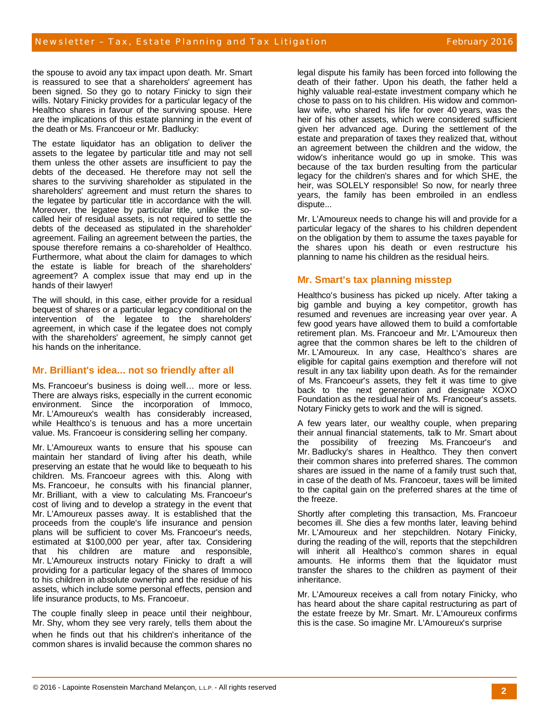the spouse to avoid any tax impact upon death. Mr. Smart is reassured to see that a shareholders' agreement has been signed. So they go to notary Finicky to sign their wills. Notary Finicky provides for a particular legacy of the Healthco shares in favour of the surviving spouse. Here are the implications of this estate planning in the event of the death or Ms. Francoeur or Mr. Badlucky:

The estate liquidator has an obligation to deliver the assets to the legatee by particular title and may not sell them unless the other assets are insufficient to pay the debts of the deceased. He therefore may not sell the shares to the surviving shareholder as stipulated in the shareholders' agreement and must return the shares to the legatee by particular title in accordance with the will. Moreover, the legatee by particular title, unlike the socalled heir of residual assets, is not required to settle the debts of the deceased as stipulated in the shareholder' agreement. Failing an agreement between the parties, the spouse therefore remains a co-shareholder of Healthco. Furthermore, what about the claim for damages to which the estate is liable for breach of the shareholders' agreement? A complex issue that may end up in the hands of their lawyer!

The will should, in this case, either provide for a residual bequest of shares or a particular legacy conditional on the intervention of the legatee to the shareholders' agreement, in which case if the legatee does not comply with the shareholders' agreement, he simply cannot get his hands on the inheritance.

#### **Mr. Brilliant's idea... not so friendly after all**

Ms. Francoeur's business is doing well… more or less. There are always risks, especially in the current economic environment. Since the incorporation of Immoco, Mr. L'Amoureux's wealth has considerably increased, while Healthco's is tenuous and has a more uncertain value. Ms. Francoeur is considering selling her company.

Mr. L'Amoureux wants to ensure that his spouse can maintain her standard of living after his death, while preserving an estate that he would like to bequeath to his children. Ms. Francoeur agrees with this. Along with Ms. Francoeur, he consults with his financial planner, Mr. Brilliant, with a view to calculating Ms. Francoeur's cost of living and to develop a strategy in the event that Mr. L'Amoureux passes away. It is established that the proceeds from the couple's life insurance and pension plans will be sufficient to cover Ms. Francoeur's needs, estimated at \$100,000 per year, after tax. Considering that his children are mature and responsible, Mr. L'Amoureux instructs notary Finicky to draft a will providing for a particular legacy of the shares of Immoco to his children in absolute ownerhip and the residue of his assets, which include some personal effects, pension and life insurance products, to Ms. Francoeur.

The couple finally sleep in peace until their neighbour, Mr. Shy, whom they see very rarely, tells them about the when he finds out that his children's inheritance of the common shares is invalid because the common shares no legal dispute his family has been forced into following the death of their father. Upon his death, the father held a highly valuable real-estate investment company which he chose to pass on to his children. His widow and commonlaw wife, who shared his life for over 40 years, was the heir of his other assets, which were considered sufficient given her advanced age. During the settlement of the estate and preparation of taxes they realized that, without an agreement between the children and the widow, the widow's inheritance would go up in smoke. This was because of the tax burden resulting from the particular legacy for the children's shares and for which SHE, the heir, was SOLELY responsible! So now, for nearly three years, the family has been embroiled in an endless dispute...

Mr. L'Amoureux needs to change his will and provide for a particular legacy of the shares to his children dependent on the obligation by them to assume the taxes payable for the shares upon his death or even restructure his planning to name his children as the residual heirs.

## **Mr. Smart's tax planning misstep**

Healthco's business has picked up nicely. After taking a big gamble and buying a key competitor, growth has resumed and revenues are increasing year over year. A few good years have allowed them to build a comfortable retirement plan. Ms. Francoeur and Mr. L'Amoureux then agree that the common shares be left to the children of Mr. L'Amoureux. In any case, Healthco's shares are eligible for capital gains exemption and therefore will not result in any tax liability upon death. As for the remainder of Ms. Francoeur's assets, they felt it was time to give back to the next generation and designate XOXO Foundation as the residual heir of Ms. Francoeur's assets. Notary Finicky gets to work and the will is signed.

A few years later, our wealthy couple, when preparing their annual financial statements, talk to Mr. Smart about the possibility of freezing Ms. Francoeur's and Mr. Badlucky's shares in Healthco. They then convert their common shares into preferred shares. The common shares are issued in the name of a family trust such that, in case of the death of Ms. Francoeur, taxes will be limited to the capital gain on the preferred shares at the time of the freeze.

Shortly after completing this transaction, Ms. Francoeur becomes ill. She dies a few months later, leaving behind Mr. L'Amoureux and her stepchildren. Notary Finicky, during the reading of the will, reports that the stepchildren will inherit all Healthco's common shares in equal amounts. He informs them that the liquidator must transfer the shares to the children as payment of their inheritance.

Mr. L'Amoureux receives a call from notary Finicky, who has heard about the share capital restructuring as part of the estate freeze by Mr. Smart. Mr. L'Amoureux confirms this is the case. So imagine Mr. L'Amoureux's surprise